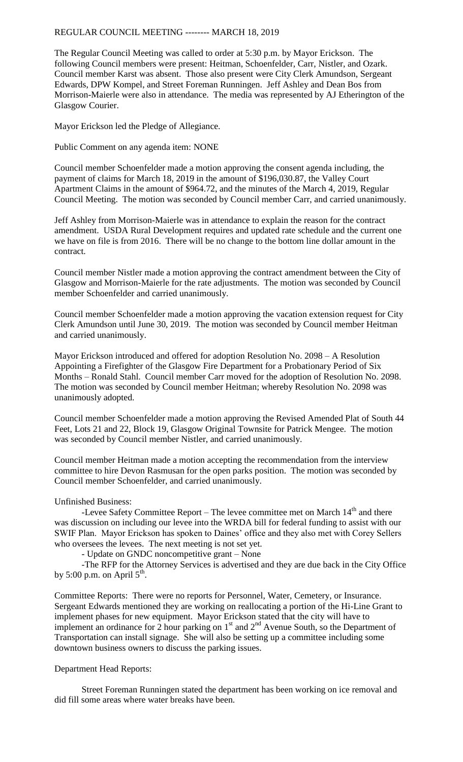REGULAR COUNCIL MEETING -------- MARCH 18, 2019

The Regular Council Meeting was called to order at 5:30 p.m. by Mayor Erickson. The following Council members were present: Heitman, Schoenfelder, Carr, Nistler, and Ozark. Council member Karst was absent. Those also present were City Clerk Amundson, Sergeant Edwards, DPW Kompel, and Street Foreman Runningen. Jeff Ashley and Dean Bos from Morrison-Maierle were also in attendance. The media was represented by AJ Etherington of the Glasgow Courier.

Mayor Erickson led the Pledge of Allegiance.

Public Comment on any agenda item: NONE

Council member Schoenfelder made a motion approving the consent agenda including, the payment of claims for March 18, 2019 in the amount of \$196,030.87, the Valley Court Apartment Claims in the amount of \$964.72, and the minutes of the March 4, 2019, Regular Council Meeting. The motion was seconded by Council member Carr, and carried unanimously.

Jeff Ashley from Morrison-Maierle was in attendance to explain the reason for the contract amendment. USDA Rural Development requires and updated rate schedule and the current one we have on file is from 2016. There will be no change to the bottom line dollar amount in the contract.

Council member Nistler made a motion approving the contract amendment between the City of Glasgow and Morrison-Maierle for the rate adjustments. The motion was seconded by Council member Schoenfelder and carried unanimously.

Council member Schoenfelder made a motion approving the vacation extension request for City Clerk Amundson until June 30, 2019. The motion was seconded by Council member Heitman and carried unanimously.

Mayor Erickson introduced and offered for adoption Resolution No. 2098 – A Resolution Appointing a Firefighter of the Glasgow Fire Department for a Probationary Period of Six Months – Ronald Stahl. Council member Carr moved for the adoption of Resolution No. 2098. The motion was seconded by Council member Heitman; whereby Resolution No. 2098 was unanimously adopted.

Council member Schoenfelder made a motion approving the Revised Amended Plat of South 44 Feet, Lots 21 and 22, Block 19, Glasgow Original Townsite for Patrick Mengee. The motion was seconded by Council member Nistler, and carried unanimously.

Council member Heitman made a motion accepting the recommendation from the interview committee to hire Devon Rasmusan for the open parks position. The motion was seconded by Council member Schoenfelder, and carried unanimously.

## Unfinished Business:

-Levee Safety Committee Report – The levee committee met on March  $14<sup>th</sup>$  and there was discussion on including our levee into the WRDA bill for federal funding to assist with our SWIF Plan. Mayor Erickson has spoken to Daines' office and they also met with Corey Sellers who oversees the levees. The next meeting is not set yet.

- Update on GNDC noncompetitive grant – None

-The RFP for the Attorney Services is advertised and they are due back in the City Office by 5:00 p.m. on April  $5<sup>th</sup>$ .

Committee Reports: There were no reports for Personnel, Water, Cemetery, or Insurance. Sergeant Edwards mentioned they are working on reallocating a portion of the Hi-Line Grant to implement phases for new equipment. Mayor Erickson stated that the city will have to implement an ordinance for 2 hour parking on  $1<sup>st</sup>$  and  $2<sup>nd</sup>$  Avenue South, so the Department of Transportation can install signage. She will also be setting up a committee including some downtown business owners to discuss the parking issues.

## Department Head Reports:

Street Foreman Runningen stated the department has been working on ice removal and did fill some areas where water breaks have been.